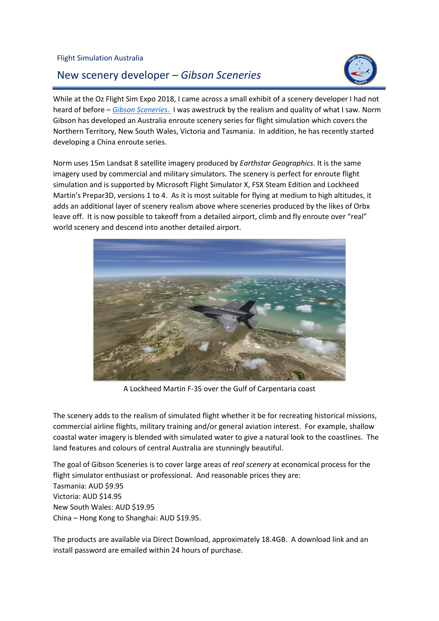## New scenery developer – *Gibson Sceneries*



L

While at the Oz Flight Sim Expo 2018, I came across a small exhibit of a scenery developer I had not heard of before – *Gibson [Sceneries](http://www.gibsonsceneries.com/)*. I was awestruck by the realism and quality of what I saw. Norm Gibson has developed an Australia enroute scenery series for flight simulation which covers the Northern Territory, New South Wales, Victoria and Tasmania. In addition, he has recently started developing a China enroute series.

Norm uses 15m Landsat 8 satellite imagery produced by *Earthstar Geographics*. It is the same imagery used by commercial and military simulators. The scenery is perfect for enroute flight simulation and is supported by Microsoft Flight Simulator X, FSX Steam Edition and Lockheed Martin's Prepar3D, versions 1 to 4. As it is most suitable for flying at medium to high altitudes, it adds an additional layer of scenery realism above where sceneries produced by the likes of Orbx leave off. It is now possible to takeoff from a detailed airport, climb and fly enroute over "real" world scenery and descend into another detailed airport.



A Lockheed Martin F-35 over the Gulf of Carpentaria coast

The scenery adds to the realism of simulated flight whether it be for recreating historical missions, commercial airline flights, military training and/or general aviation interest. For example, shallow coastal water imagery is blended with simulated water to give a natural look to the coastlines. The land features and colours of central Australia are stunningly beautiful.

The goal of Gibson Sceneries is to cover large areas of *real scenery* at economical process for the flight simulator enthusiast or professional. And reasonable prices they are: Tasmania: AUD \$9.95 Victoria: AUD \$14.95 New South Wales: AUD \$19.95 China – Hong Kong to Shanghai: AUD \$19.95.

The products are available via Direct Download, approximately 18.4GB. A download link and an install password are emailed within 24 hours of purchase.